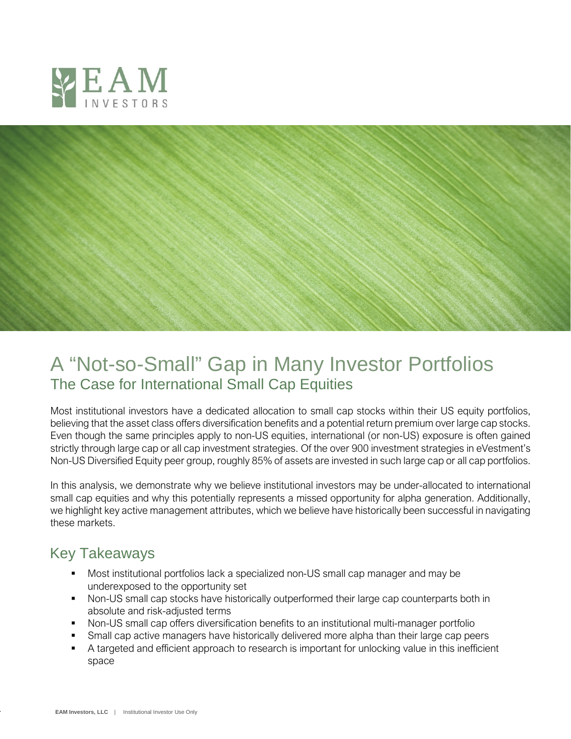



# A "Not-so-Small" Gap in Many Investor Portfolios The Case for International Small Cap Equities

Most institutional investors have a dedicated allocation to small cap stocks within their US equity portfolios, believing that the asset class offers diversification benefits and a potential return premium over large cap stocks. Even though the same principles apply to non-US equities, international (or non-US) exposure is often gained strictly through large cap or all cap investment strategies. Of the over 900 investment strategies in eVestment's Non-US Diversified Equity peer group, roughly 85% of assets are invested in such large cap or all cap portfolios.

In this analysis, we demonstrate why we believe institutional investors may be under-allocated to international small cap equities and why this potentially represents a missed opportunity for alpha generation. Additionally, we highlight key active management attributes, which we believe have historically been successful in navigating these markets.

## Key Takeaways

- Most institutional portfolios lack a specialized non-US small cap manager and may be underexposed to the opportunity set
- Non-US small cap stocks have historically outperformed their large cap counterparts both in absolute and risk-adjusted terms
- Non-US small cap offers diversification benefits to an institutional multi-manager portfolio
- Small cap active managers have historically delivered more alpha than their large cap peers
- A targeted and efficient approach to research is important for unlocking value in this inefficient space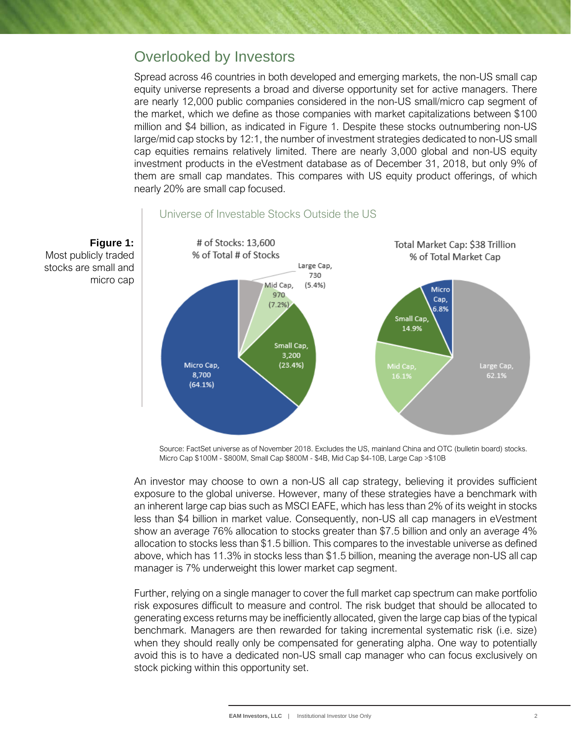## Overlooked by Investors

**Figure 1:**

micro cap

Most publicly traded stocks are small and

Spread across 46 countries in both developed and emerging markets, the non-US small cap equity universe represents a broad and diverse opportunity set for active managers. There are nearly 12,000 public companies considered in the non-US small/micro cap segment of the market, which we define as those companies with market capitalizations between \$100 million and \$4 billion, as indicated in Figure 1. Despite these stocks outnumbering non-US large/mid cap stocks by 12:1, the number of investment strategies dedicated to non-US small cap equities remains relatively limited. There are nearly 3,000 global and non-US equity investment products in the eVestment database as of December 31, 2018, but only 9% of them are small cap mandates. This compares with US equity product offerings, of which nearly 20% are small cap focused.



### Universe of Investable Stocks Outside the US

Source: FactSet universe as of November 2018. Excludes the US, mainland China and OTC (bulletin board) stocks. Micro Cap \$100M - \$800M, Small Cap \$800M - \$4B, Mid Cap \$4-10B, Large Cap >\$10B

An investor may choose to own a non-US all cap strategy, believing it provides sufficient exposure to the global universe. However, many of these strategies have a benchmark with an inherent large cap bias such as MSCI EAFE, which has less than 2% of its weight in stocks less than \$4 billion in market value. Consequently, non-US all cap managers in eVestment show an average 76% allocation to stocks greater than \$7.5 billion and only an average 4% allocation to stocks less than \$1.5 billion. This compares to the investable universe as defined above, which has 11.3% in stocks less than \$1.5 billion, meaning the average non-US all cap manager is 7% underweight this lower market cap segment.

Further, relying on a single manager to cover the full market cap spectrum can make portfolio risk exposures difficult to measure and control. The risk budget that should be allocated to generating excess returns may be inefficiently allocated, given the large cap bias of the typical benchmark. Managers are then rewarded for taking incremental systematic risk (i.e. size) when they should really only be compensated for generating alpha. One way to potentially avoid this is to have a dedicated non-US small cap manager who can focus exclusively on stock picking within this opportunity set.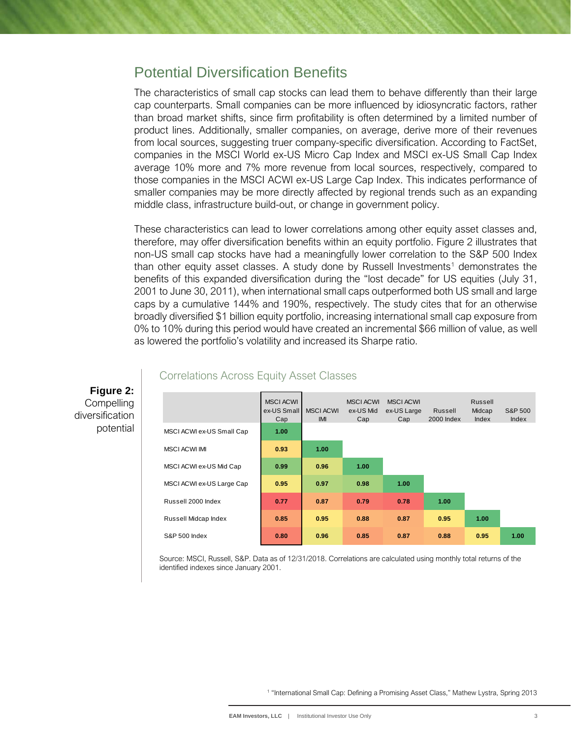### Potential Diversification Benefits

The characteristics of small cap stocks can lead them to behave differently than their large cap counterparts. Small companies can be more influenced by idiosyncratic factors, rather than broad market shifts, since firm profitability is often determined by a limited number of product lines. Additionally, smaller companies, on average, derive more of their revenues from local sources, suggesting truer company-specific diversification. According to FactSet, companies in the MSCI World ex-US Micro Cap Index and MSCI ex-US Small Cap Index average 10% more and 7% more revenue from local sources, respectively, compared to those companies in the MSCI ACWI ex-US Large Cap Index. This indicates performance of smaller companies may be more directly affected by regional trends such as an expanding middle class, infrastructure build-out, or change in government policy.

These characteristics can lead to lower correlations among other equity asset classes and, therefore, may offer diversification benefits within an equity portfolio. Figure 2 illustrates that non-US small cap stocks have had a meaningfully lower correlation to the S&P 500 Index than other equity asset classes. A study done by Russell Investments<sup>[1](#page-2-0)</sup> demonstrates the benefits of this expanded diversification during the "lost decade" for US equities (July 31, 2001 to June 30, 2011), when international small caps outperformed both US small and large caps by a cumulative 144% and 190%, respectively. The study cites that for an otherwise broadly diversified \$1 billion equity portfolio, increasing international small cap exposure from 0% to 10% during this period would have created an incremental \$66 million of value, as well as lowered the portfolio's volatility and increased its Sharpe ratio.

|                           | <b>MSCI ACWI</b><br>ex-US Small<br>Cap | <b>MSCI ACWI</b><br>IMI | <b>MSCI ACWI</b><br>ex-US Mid<br>Cap | <b>MSCI ACWI</b><br>ex-US Large<br>Cap | Russell<br>2000 Index | Russell<br>Midcap<br>Index | S&P 500<br>Index |
|---------------------------|----------------------------------------|-------------------------|--------------------------------------|----------------------------------------|-----------------------|----------------------------|------------------|
| MSCI ACWI ex-US Small Cap | 1.00                                   |                         |                                      |                                        |                       |                            |                  |
| <b>MSCI ACWI IMI</b>      | 0.93                                   | 1.00                    |                                      |                                        |                       |                            |                  |
| MSCI ACWI ex-US Mid Cap   | 0.99                                   | 0.96                    | 1.00                                 |                                        |                       |                            |                  |
| MSCI ACWI ex-US Large Cap | 0.95                                   | 0.97                    | 0.98                                 | 1.00                                   |                       |                            |                  |
| Russell 2000 Index        | 0.77                                   | 0.87                    | 0.79                                 | 0.78                                   | 1.00                  |                            |                  |
| Russell Midcap Index      | 0.85                                   | 0.95                    | 0.88                                 | 0.87                                   | 0.95                  | 1.00                       |                  |
| <b>S&amp;P 500 Index</b>  | 0.80                                   | 0.96                    | 0.85                                 | 0.87                                   | 0.88                  | 0.95                       | 1.00             |

### Correlations Across Equity Asset Classes

**Figure 2: Compelling** diversification potential

> <span id="page-2-0"></span>Source: MSCI, Russell, S&P. Data as of 12/31/2018. Correlations are calculated using monthly total returns of the identified indexes since January 2001.

> > <sup>1</sup> "International Small Cap: Defining a Promising Asset Class," Mathew Lystra, Spring 2013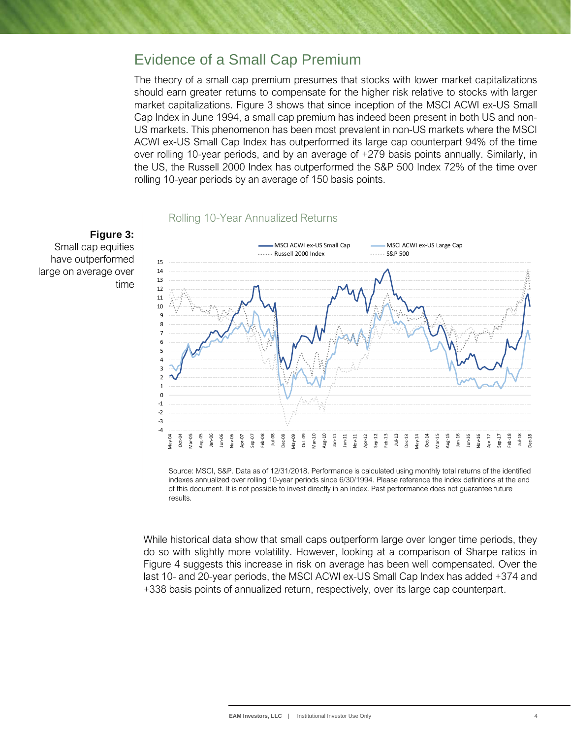### Evidence of a Small Cap Premium

The theory of a small cap premium presumes that stocks with lower market capitalizations should earn greater returns to compensate for the higher risk relative to stocks with larger market capitalizations. Figure 3 shows that since inception of the MSCI ACWI ex-US Small Cap Index in June 1994, a small cap premium has indeed been present in both US and non-US markets. This phenomenon has been most prevalent in non-US markets where the MSCI ACWI ex-US Small Cap Index has outperformed its large cap counterpart 94% of the time over rolling 10-year periods, and by an average of +279 basis points annually. Similarly, in the US, the Russell 2000 Index has outperformed the S&P 500 Index 72% of the time over rolling 10-year periods by an average of 150 basis points.





Source: MSCI, S&P. Data as of 12/31/2018. Performance is calculated using monthly total returns of the identified indexes annualized over rolling 10-year periods since 6/30/1994. Please reference the index definitions at the end of this document. It is not possible to invest directly in an index. Past performance does not guarantee future results.

While historical data show that small caps outperform large over longer time periods, they do so with slightly more volatility. However, looking at a comparison of Sharpe ratios in Figure 4 suggests this increase in risk on average has been well compensated. Over the last 10- and 20-year periods, the MSCI ACWI ex-US Small Cap Index has added +374 and +338 basis points of annualized return, respectively, over its large cap counterpart.

## **Figure 3:**

Small cap equities have outperformed large on average over time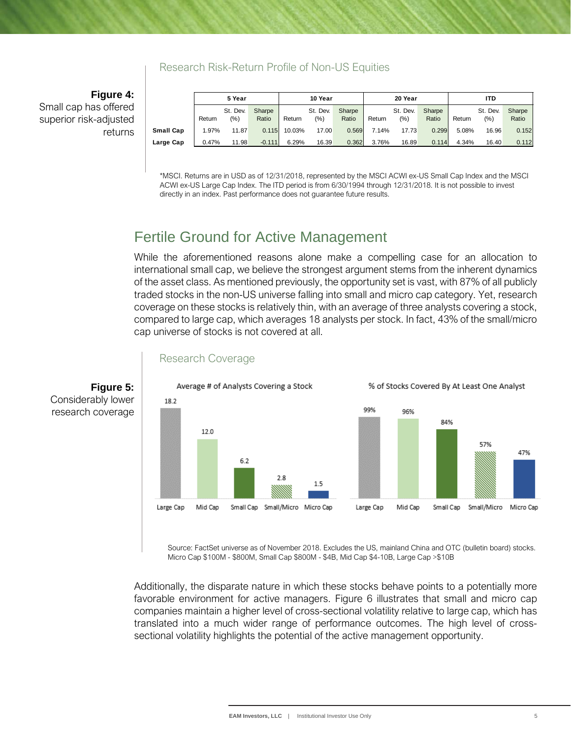### Research Risk-Return Profile of Non-US Equities

**Figure 4:** Small cap has offered superior risk-adjusted returns

|           | 5 Year |          | 10 Year  |        | 20 Year  |        |        | ITD      |        |        |          |        |
|-----------|--------|----------|----------|--------|----------|--------|--------|----------|--------|--------|----------|--------|
|           |        | St. Dev. | Sharpe   |        | St. Dev. | Sharpe |        | St. Dev. | Sharpe |        | St. Dev. | Sharpe |
|           | Return | $(\% )$  | Ratio    | Return | (%)      | Ratio  | Return | (%)      | Ratio  | Return | $(\% )$  | Ratio  |
| Small Cap | 1.97%  | 11.87    | 0.115    | 10.03% | 17.00    | 0.569  | 7.14%  | 17.73    | 0.299  | 5.08%  | 16.96    | 0.152  |
| Large Cap | 0.47%  | 11.98    | $-0.111$ | 6.29%  | 16.39    | 0.362  | 3.76%  | 16.89    | 0.114  | 4.34%  | 16.40    | 0.112  |

\*MSCI. Returns are in USD as of 12/31/2018, represented by the MSCI ACWI ex-US Small Cap Index and the MSCI ACWI ex-US Large Cap Index. The ITD period is from 6/30/1994 through 12/31/2018. It is not possible to invest directly in an index. Past performance does not guarantee future results.

## Fertile Ground for Active Management

While the aforementioned reasons alone make a compelling case for an allocation to international small cap, we believe the strongest argument stems from the inherent dynamics of the asset class. As mentioned previously, the opportunity set is vast, with 87% of all publicly traded stocks in the non-US universe falling into small and micro cap category. Yet, research coverage on these stocks is relatively thin, with an average of three analysts covering a stock, compared to large cap, which averages 18 analysts per stock. In fact, 43% of the small/micro cap universe of stocks is not covered at all.



### Research Coverage

Source: FactSet universe as of November 2018. Excludes the US, mainland China and OTC (bulletin board) stocks. Micro Cap \$100M - \$800M, Small Cap \$800M - \$4B, Mid Cap \$4-10B, Large Cap >\$10B

Additionally, the disparate nature in which these stocks behave points to a potentially more favorable environment for active managers. Figure 6 illustrates that small and micro cap companies maintain a higher level of cross-sectional volatility relative to large cap, which has translated into a much wider range of performance outcomes. The high level of crosssectional volatility highlights the potential of the active management opportunity.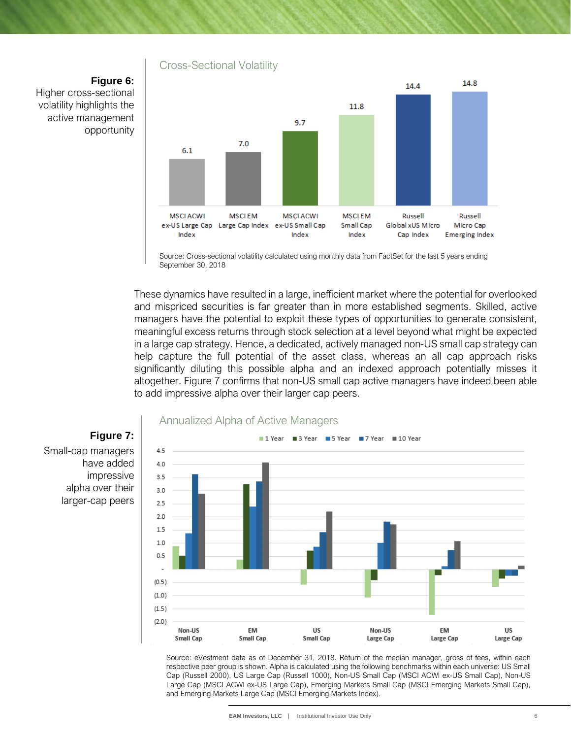### Cross-Sectional Volatility

**Figure 6:** Higher cross-sectional volatility highlights the active management opportunity



Source: Cross-sectional volatility calculated using monthly data from FactSet for the last 5 years ending September 30, 2018

These dynamics have resulted in a large, inefficient market where the potential for overlooked and mispriced securities is far greater than in more established segments. Skilled, active managers have the potential to exploit these types of opportunities to generate consistent, meaningful excess returns through stock selection at a level beyond what might be expected in a large cap strategy. Hence, a dedicated, actively managed non-US small cap strategy can help capture the full potential of the asset class, whereas an all cap approach risks significantly diluting this possible alpha and an indexed approach potentially misses it altogether. Figure 7 confirms that non-US small cap active managers have indeed been able to add impressive alpha over their larger cap peers.



#### Source: eVestment data as of December 31, 2018. Return of the median manager, gross of fees, within each respective peer group is shown. Alpha is calculated using the following benchmarks within each universe: US Small Cap (Russell 2000), US Large Cap (Russell 1000), Non-US Small Cap (MSCI ACWI ex-US Small Cap), Non-US Large Cap (MSCI ACWI ex-US Large Cap), Emerging Markets Small Cap (MSCI Emerging Markets Small Cap), and Emerging Markets Large Cap (MSCI Emerging Markets Index).

Small-cap managers have added impressive alpha over their larger-cap peers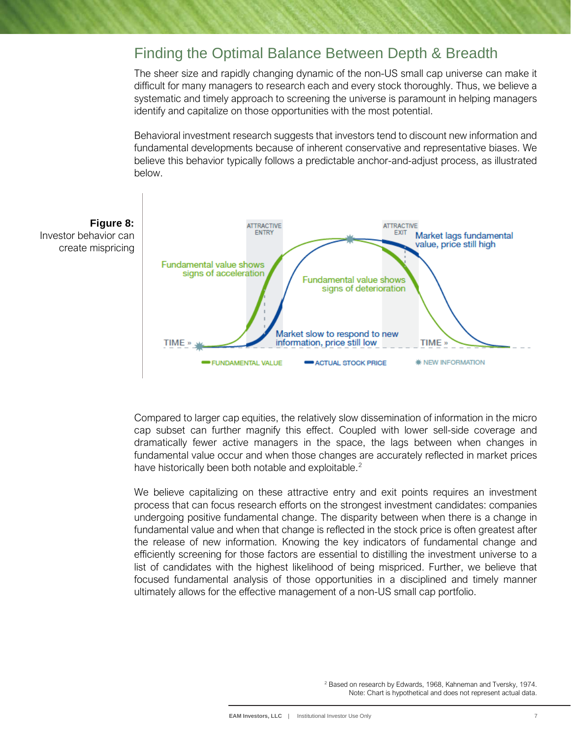### Finding the Optimal Balance Between Depth & Breadth

The sheer size and rapidly changing dynamic of the non-US small cap universe can make it difficult for many managers to research each and every stock thoroughly. Thus, we believe a systematic and timely approach to screening the universe is paramount in helping managers identify and capitalize on those opportunities with the most potential.

Behavioral investment research suggests that investors tend to discount new information and fundamental developments because of inherent conservative and representative biases. We believe this behavior typically follows a predictable anchor-and-adjust process, as illustrated below.



Compared to larger cap equities, the relatively slow dissemination of information in the micro cap subset can further magnify this effect. Coupled with lower sell-side coverage and dramatically fewer active managers in the space, the lags between when changes in fundamental value occur and when those changes are accurately reflected in market prices have historically been both notable and exploitable.<sup>[2](#page-6-0)</sup>

<span id="page-6-0"></span>We believe capitalizing on these attractive entry and exit points requires an investment process that can focus research efforts on the strongest investment candidates: companies undergoing positive fundamental change. The disparity between when there is a change in fundamental value and when that change is reflected in the stock price is often greatest after the release of new information. Knowing the key indicators of fundamental change and efficiently screening for those factors are essential to distilling the investment universe to a list of candidates with the highest likelihood of being mispriced. Further, we believe that focused fundamental analysis of those opportunities in a disciplined and timely manner ultimately allows for the effective management of a non-US small cap portfolio.

> <sup>2</sup> Based on research by Edwards, 1968, Kahneman and Tversky, 1974. Note: Chart is hypothetical and does not represent actual data.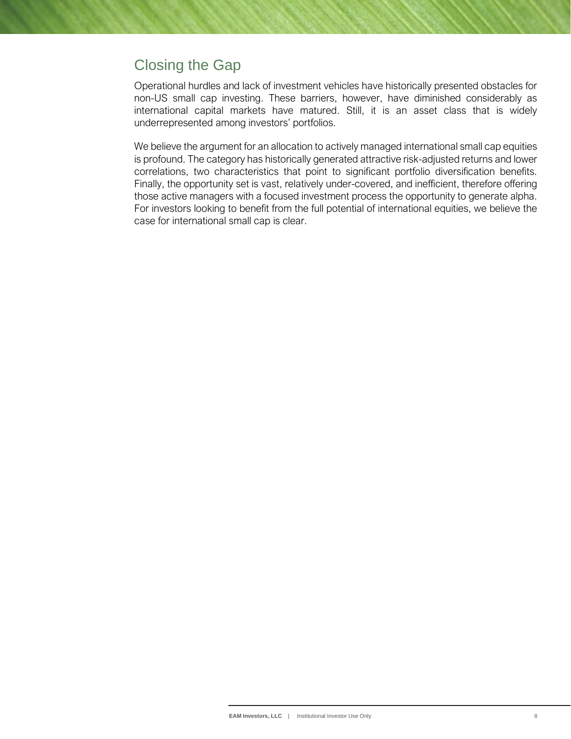## Closing the Gap

Operational hurdles and lack of investment vehicles have historically presented obstacles for non-US small cap investing. These barriers, however, have diminished considerably as international capital markets have matured. Still, it is an asset class that is widely underrepresented among investors' portfolios.

We believe the argument for an allocation to actively managed international small cap equities is profound. The category has historically generated attractive risk-adjusted returns and lower correlations, two characteristics that point to significant portfolio diversification benefits. Finally, the opportunity set is vast, relatively under-covered, and inefficient, therefore offering those active managers with a focused investment process the opportunity to generate alpha. For investors looking to benefit from the full potential of international equities, we believe the case for international small cap is clear.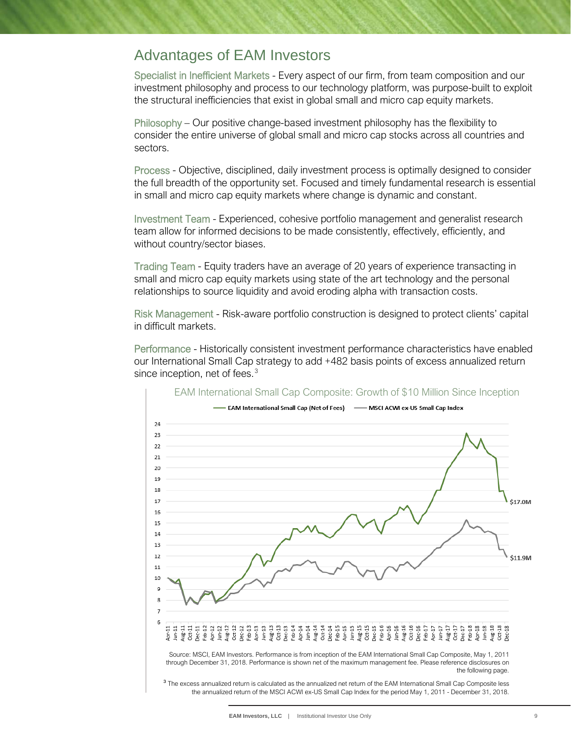## Advantages of EAM Investors

Specialist in Inefficient Markets - Every aspect of our firm, from team composition and our investment philosophy and process to our technology platform, was purpose-built to exploit the structural inefficiencies that exist in global small and micro cap equity markets.

Philosophy – Our positive change-based investment philosophy has the flexibility to consider the entire universe of global small and micro cap stocks across all countries and sectors.

Process - Objective, disciplined, daily investment process is optimally designed to consider the full breadth of the opportunity set. Focused and timely fundamental research is essential in small and micro cap equity markets where change is dynamic and constant.

Investment Team - Experienced, cohesive portfolio management and generalist research team allow for informed decisions to be made consistently, effectively, efficiently, and without country/sector biases.

Trading Team - Equity traders have an average of 20 years of experience transacting in small and micro cap equity markets using state of the art technology and the personal relationships to source liquidity and avoid eroding alpha with transaction costs.

Risk Management - Risk-aware portfolio construction is designed to protect clients' capital in difficult markets.

Performance - Historically consistent investment performance characteristics have enabled our International Small Cap strategy to add +482 basis points of excess annualized return since inception, net of fees.<sup>[3](#page-8-0)</sup>

<span id="page-8-0"></span>